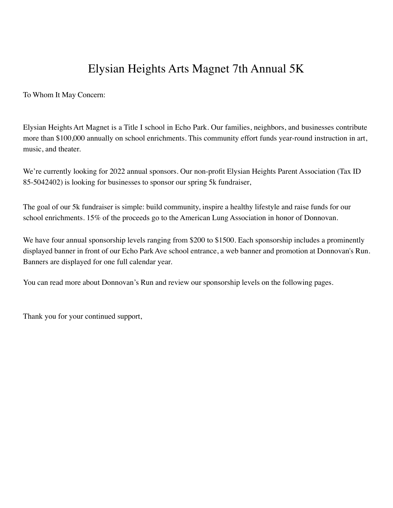# Elysian Heights Arts Magnet 7th Annual 5K

To Whom It May Concern:

Elysian Heights Art Magnet is a Title I school in Echo Park. Our families, neighbors, and businesses contribute more than \$100,000 annually on school enrichments. This community effort funds year-round instruction in art, music, and theater.

We're currently looking for 2022 annual sponsors. Our non-profit Elysian Heights Parent Association (Tax ID 85-5042402) is looking for businesses to sponsor our spring 5k fundraiser,

The goal of our 5k fundraiser is simple: build community, inspire a healthy lifestyle and raise funds for our school enrichments. 15% of the proceeds go to the American Lung Association in honor of Donnovan.

We have four annual sponsorship levels ranging from \$200 to \$1500. Each sponsorship includes a prominently displayed banner in front of our Echo ParkAve school entrance, a web banner and promotion at Donnovan's Run. Banners are displayed for one full calendar year.

You can read more about Donnovan's Run and review our sponsorship levels on the following pages.

Thank you for your continued support,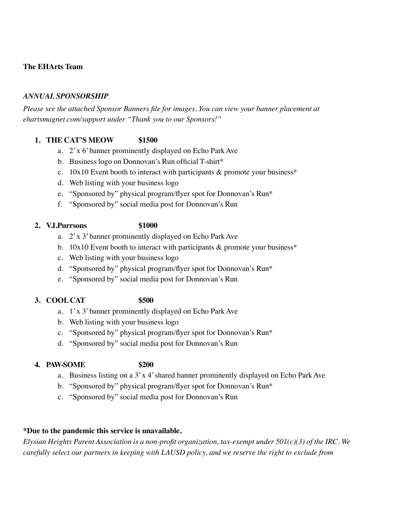### **The EHArts Team**

### *ANNUAL SPONSORSHIP*

*Please see the attached Sponsor Banners file for images. You can view your banner placement at ehartsmagnet.com/support under "Thank you to our Sponsors!"*

#### **1. THE CAT'S MEOW \$1500**

- a. 2'x 6'banner prominently displayed on Echo ParkAve
- b. Business logo on Donnovan's Run official T-shirt\*
- c.  $10x10$  Event booth to interact with participants & promote your business\*
- d. Web listing with your business logo
- e. "Sponsored by" physical program/flyer spot for Donnovan's Run\*
- f. "Sponsored by" social media post for Donnovan's Run

#### **2. V.I.Purrsons \$1000**

- a. 2'x 3'banner prominently displayed on Echo ParkAve
- b. 10x10 Event booth to interact with participants  $\&$  promote your business<sup>\*</sup>
- c. Web listing with your business logo
- d. "Sponsored by" physical program/flyer spot for Donnovan's Run\*
- e. "Sponsored by" social media post for Donnovan's Run

# **3. COOLCAT \$500**

- a. 1'x 3'banner prominently displayed on Echo ParkAve
- b. Web listing with your business logo
- c. "Sponsored by" physical program/flyer spot for Donnovan's Run\*
- d. "Sponsored by" social media post for Donnovan's Run

#### **4. PAW-SOME \$200**

- 
- a. Business listing on a  $3'x$  4' shared banner prominently displayed on Echo Park Ave
- b. "Sponsored by" physical program/flyer spot for Donnovan's Run\*
- c. "Sponsored by" social media post for Donnovan's Run

# **\*Due to the pandemic this service is unavailable.**

*Elysian Heights Parent Association is a non-profit organization, tax-exempt under 501(c)(3) of the IRC. We carefully select our partners in keeping with LAUSD policy, and we reserve the right to exclude from*